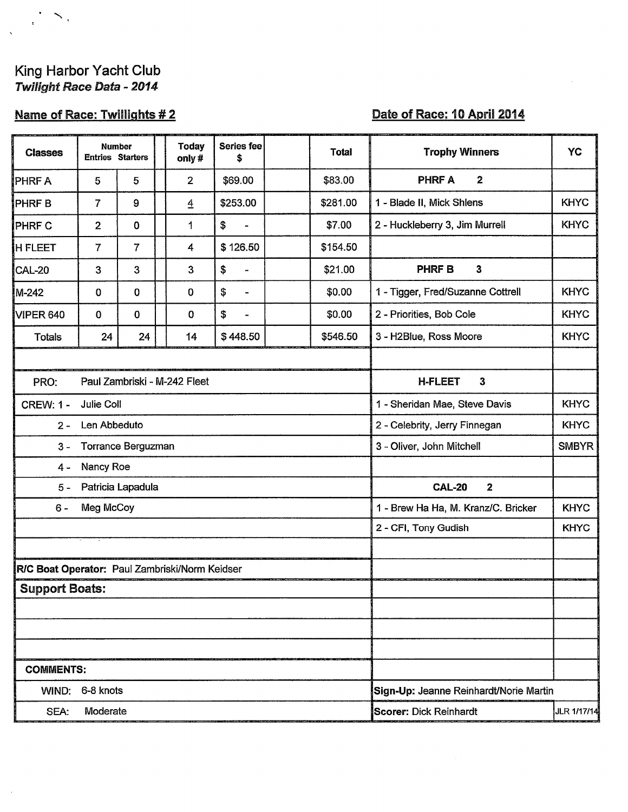# King Harbor Yacht Club<br>Twilight Race Data - 2014

 $\preceq$  ,

 $\mathbf{r}^{\top}$ 

## **Name of Race: Twillights #2**

### Date of Race: 10 April 2014

| <b>Classes</b>                                 | <b>Number</b><br><b>Entries Starters</b> |                |  | <b>Today</b><br>only# | <b>Series fee</b><br>\$        |  | <b>Total</b>                                 | <b>Trophy Winners</b>                  | <b>YC</b>    |  |
|------------------------------------------------|------------------------------------------|----------------|--|-----------------------|--------------------------------|--|----------------------------------------------|----------------------------------------|--------------|--|
| PHRF A                                         | 5                                        | 5              |  | $\overline{2}$        | \$69.00                        |  | \$83.00                                      | <b>PHRF A</b><br>2                     |              |  |
| PHRF B                                         | $\overline{7}$                           | 9              |  | $\overline{4}$        | \$253.00                       |  | \$281.00                                     | 1 - Blade II, Mick Shlens              | <b>KHYC</b>  |  |
| PHRF C                                         | $\overline{2}$                           | $\mathbf 0$    |  | 1                     | \$                             |  | \$7.00                                       | 2 - Huckleberry 3, Jim Murrell         | <b>KHYC</b>  |  |
| <b>H FLEET</b>                                 | $\overline{7}$                           | $\overline{7}$ |  | 4                     | \$126.50                       |  | \$154.50                                     |                                        |              |  |
| CAL-20                                         | 3                                        | 3              |  | 3                     | \$<br>$\overline{\phantom{a}}$ |  | \$21.00                                      | <b>PHRFB</b><br>$\mathbf{3}$           |              |  |
| M-242                                          | $\mathbf 0$                              | $\overline{0}$ |  | 0                     | \$<br>۰                        |  | \$0.00                                       | 1 - Tigger, Fred/Suzanne Cottrell      | <b>KHYC</b>  |  |
| VIPER 640                                      | 0                                        | $\mathbf 0$    |  | 0                     | \$<br>$\blacksquare$           |  | \$0.00                                       | 2 - Priorities, Bob Cole               | <b>KHYC</b>  |  |
| <b>Totals</b>                                  | 24                                       | 24             |  | 14                    | \$448.50                       |  | \$546.50                                     | 3 - H2Blue, Ross Moore                 | <b>KHYC</b>  |  |
|                                                |                                          |                |  |                       |                                |  |                                              |                                        |              |  |
| Paul Zambriski - M-242 Fleet<br>PRO:           |                                          |                |  |                       |                                |  | $\mathbf{3}$<br><b>H-FLEET</b>               |                                        |              |  |
| <b>Julie Coll</b><br><b>CREW: 1 -</b>          |                                          |                |  |                       |                                |  | <b>KHYC</b><br>1 - Sheridan Mae, Steve Davis |                                        |              |  |
| Len Abbeduto<br>$2 -$                          |                                          |                |  |                       |                                |  | 2 - Celebrity, Jerry Finnegan                | <b>KHYC</b>                            |              |  |
| $3 -$                                          | Torrance Berguzman                       |                |  |                       |                                |  |                                              | 3 - Oliver, John Mitchell              | <b>SMBYR</b> |  |
| Nancy Roe<br>$4 -$                             |                                          |                |  |                       |                                |  |                                              |                                        |              |  |
| Patricia Lapadula<br>$5 -$                     |                                          |                |  |                       |                                |  | <b>CAL-20</b><br>$\mathbf{2}$                |                                        |              |  |
| $6 -$                                          | Meg McCoy                                |                |  |                       |                                |  |                                              | 1 - Brew Ha Ha, M. Kranz/C. Bricker    | <b>KHYC</b>  |  |
|                                                |                                          |                |  |                       |                                |  |                                              | 2 - CFI, Tony Gudish                   | <b>KHYC</b>  |  |
|                                                |                                          |                |  |                       |                                |  |                                              |                                        |              |  |
| R/C Boat Operator: Paul Zambriski/Norm Keidser |                                          |                |  |                       |                                |  |                                              |                                        |              |  |
| <b>Support Boats:</b>                          |                                          |                |  |                       |                                |  |                                              |                                        |              |  |
|                                                |                                          |                |  |                       |                                |  |                                              |                                        |              |  |
|                                                |                                          |                |  |                       |                                |  |                                              |                                        |              |  |
|                                                |                                          |                |  |                       |                                |  |                                              |                                        |              |  |
| <b>COMMENTS:</b>                               |                                          |                |  |                       |                                |  |                                              |                                        |              |  |
| WIND:                                          | 6-8 knots                                |                |  |                       |                                |  |                                              | Sign-Up: Jeanne Reinhardt/Norie Martin |              |  |
| SEA:                                           | Moderate                                 |                |  |                       |                                |  |                                              | <b>Scorer: Dick Reinhardt</b>          | JLR 1/17/14  |  |